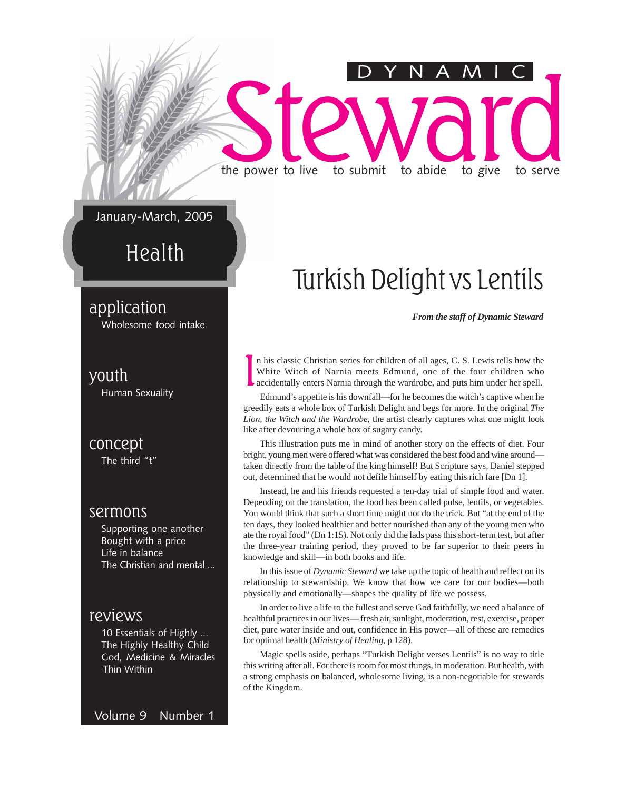# Steward to submit to abide to give to serve the power to live to submit to abide to give to serve DYNAMIC

January-March, 2005

Health

application

Wholesome food intake

#### youth

Human Sexuality

concept The third "t"

#### sermons

Supporting one another Bought with a price Life in balance The Christian and mental ...

#### reviews

10 Essentials of Highly ... The Highly Healthy Child God, Medicine & Miracles Thin Within

Volume 9 Number 1

### Turkish Delight vs Lentils

*From the staff of Dynamic Steward*

I n his classic Christian series for children of all ages, C. S. Lewis tells how the White Witch of Narnia meets Edmund, one of the four children who accidentally enters Narnia through the wardrobe, and puts him under her spell.

Edmund's appetite is his downfall—for he becomes the witch's captive when he greedily eats a whole box of Turkish Delight and begs for more. In the original *The Lion, the Witch and the Wardrobe*, the artist clearly captures what one might look like after devouring a whole box of sugary candy.

This illustration puts me in mind of another story on the effects of diet. Four bright, young men were offered what was considered the best food and wine around taken directly from the table of the king himself! But Scripture says, Daniel stepped out, determined that he would not defile himself by eating this rich fare [Dn 1].

Instead, he and his friends requested a ten-day trial of simple food and water. Depending on the translation, the food has been called pulse, lentils, or vegetables. You would think that such a short time might not do the trick. But "at the end of the ten days, they looked healthier and better nourished than any of the young men who ate the royal food" (Dn 1:15). Not only did the lads pass this short-term test, but after the three-year training period, they proved to be far superior to their peers in knowledge and skill—in both books and life.

In this issue of *Dynamic Steward* we take up the topic of health and reflect on its relationship to stewardship. We know that how we care for our bodies—both physically and emotionally—shapes the quality of life we possess.

In order to live a life to the fullest and serve God faithfully, we need a balance of healthful practices in our lives— fresh air, sunlight, moderation, rest, exercise, proper diet, pure water inside and out, confidence in His power—all of these are remedies for optimal health (*Ministry of Healing*, p 128).

Magic spells aside, perhaps "Turkish Delight verses Lentils" is no way to title this writing after all. For there is room for most things, in moderation. But health, with a strong emphasis on balanced, wholesome living, is a non-negotiable for stewards of the Kingdom.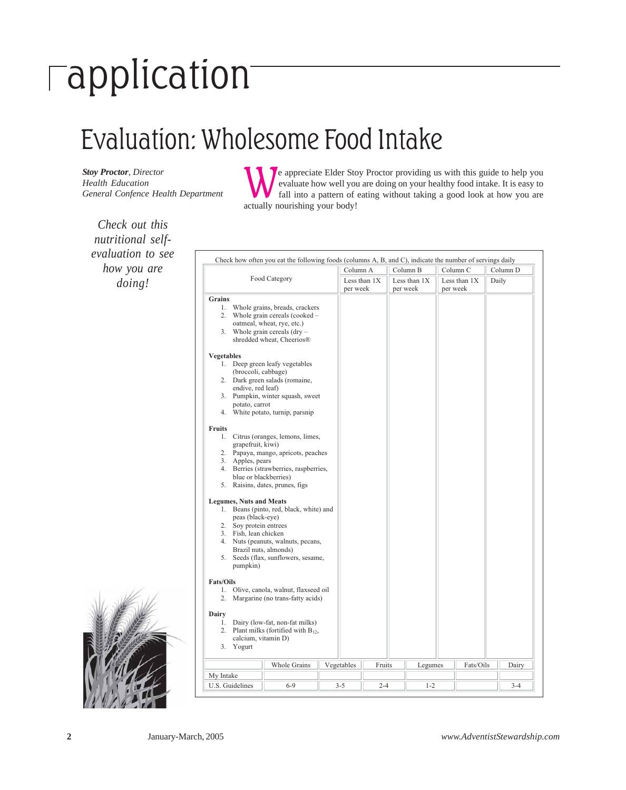# application

### Evaluation: Wholesome Food Intake

*Stoy Proctor, Director Health Education General Confence Health Department*

*Check out this*

The appreciate Elder Stoy Proctor providing us with this guide to help you evaluate how well you are doing on your healthy food intake. It is easy to fall into a pattern of eating without taking a good look at how you are actually nourishing your body!

| how you are |                                                                                                                                                                                                                                                                                                                                                                                       |                                                                                                                                                                                                                                                                                                                                                                                                                                                                                                                                                                                                                                                                     | Column B<br>Column C<br>Column 1<br>Column A |                          |                            |           |    |
|-------------|---------------------------------------------------------------------------------------------------------------------------------------------------------------------------------------------------------------------------------------------------------------------------------------------------------------------------------------------------------------------------------------|---------------------------------------------------------------------------------------------------------------------------------------------------------------------------------------------------------------------------------------------------------------------------------------------------------------------------------------------------------------------------------------------------------------------------------------------------------------------------------------------------------------------------------------------------------------------------------------------------------------------------------------------------------------------|----------------------------------------------|--------------------------|----------------------------|-----------|----|
| doing!      | Food Category                                                                                                                                                                                                                                                                                                                                                                         | Less than 1X<br>per week                                                                                                                                                                                                                                                                                                                                                                                                                                                                                                                                                                                                                                            |                                              | Less than 1X<br>per week | Less than $1X$<br>per week | Daily     |    |
|             | Grains<br>2.<br><b>Vegetables</b><br>(broccoli, cabbage)<br>endive, red leaf)<br>potato, carrot<br><b>Fruits</b><br>1.<br>grapefruit, kiwi)<br>3. Apples, pears<br>blue or blackberries)<br><b>Legumes, Nuts and Meats</b><br>peas (black-eye)<br>2. Soy protein entrees<br>3. Fish, lean chicken<br>Brazil nuts, almonds)<br>5.<br>pumpkin)<br><b>Fats/Oils</b><br>1.<br>2.<br>Dairy | 1. Whole grains, breads, crackers<br>Whole grain cereals (cooked -<br>oatmeal, wheat, rye, etc.)<br>3. Whole grain cereals $(dry -$<br>shredded wheat, Cheerios®<br>1. Deep green leafy vegetables<br>2. Dark green salads (romaine,<br>3. Pumpkin, winter squash, sweet<br>4. White potato, turnip, parsnip<br>Citrus (oranges, lemons, limes,<br>2. Papaya, mango, apricots, peaches<br>4. Berries (strawberries, raspberries,<br>5. Raisins, dates, prunes, figs<br>1. Beans (pinto, red, black, white) and<br>4. Nuts (peanuts, walnuts, pecans,<br>Seeds (flax, sunflowers, sesame,<br>Olive, canola, walnut, flaxseed oil<br>Margarine (no trans-fatty acids) |                                              |                          |                            |           |    |
|             | 1.<br>2.<br>calcium, vitamin D)<br>3. Yogurt                                                                                                                                                                                                                                                                                                                                          | Dairy (low-fat, non-fat milks)<br>Plant milks (fortified with $B_{12}$ ,                                                                                                                                                                                                                                                                                                                                                                                                                                                                                                                                                                                            |                                              |                          |                            |           |    |
|             |                                                                                                                                                                                                                                                                                                                                                                                       | Whole Grains                                                                                                                                                                                                                                                                                                                                                                                                                                                                                                                                                                                                                                                        | Vegetables                                   | Fruits                   | Legumes                    | Fats/Oils | Da |
|             |                                                                                                                                                                                                                                                                                                                                                                                       |                                                                                                                                                                                                                                                                                                                                                                                                                                                                                                                                                                                                                                                                     |                                              |                          |                            |           |    |

Column B Column C Column D Food Category Less than 1X Less than 1X per week Less than 1X per week Daily || Whole Grains || Vegetables || Fruits || Legumes || Fats/Oils || Dairy U.S. Guidelines | 6-9 | 3-5 | 2-4 | 1-2 | 3-4 3-4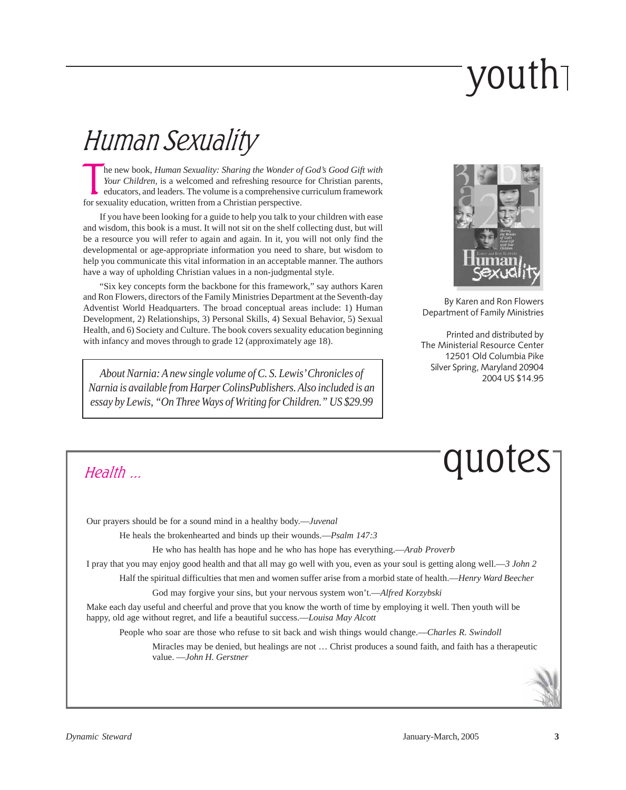# youth

### Human Sexuality

The new book, *Human Sexuality: Sharing the Wonder of Your Children*, is a welcomed and refreshing resource educators, and leaders. The volume is a comprehensive for sexuality education, written from a Christian perspectiv he new book, *Human Sexuality: Sharing the Wonder of God's Good Gift with Your Children,* is a welcomed and refreshing resource for Christian parents, educators, and leaders. The volume is a comprehensive curriculum framework

If you have been looking for a guide to help you talk to your children with ease and wisdom, this book is a must. It will not sit on the shelf collecting dust, but will be a resource you will refer to again and again. In it, you will not only find the developmental or age-appropriate information you need to share, but wisdom to help you communicate this vital information in an acceptable manner. The authors have a way of upholding Christian values in a non-judgmental style.

"Six key concepts form the backbone for this framework," say authors Karen and Ron Flowers, directors of the Family Ministries Department at the Seventh-day Adventist World Headquarters. The broad conceptual areas include: 1) Human Development, 2) Relationships, 3) Personal Skills, 4) Sexual Behavior, 5) Sexual Health, and 6) Society and Culture. The book covers sexuality education beginning with infancy and moves through to grade 12 (approximately age 18).

*About Narnia: A new single volume of C. S. Lewis' Chronicles of Narnia is available from Harper ColinsPublishers. Also included is an essay by Lewis, "On Three Ways of Writing for Children." US \$29.99*



By Karen and Ron Flowers Department of Family Ministries

Printed and distributed by The Ministerial Resource Center 12501 Old Columbia Pike Silver Spring, Maryland 20904 2004 US \$14.95

quotes

Health ...

Our prayers should be for a sound mind in a healthy body.—*Juvenal*

He heals the brokenhearted and binds up their wounds.—*Psalm 147:3*

He who has health has hope and he who has hope has everything.—*Arab Proverb*

I pray that you may enjoy good health and that all may go well with you, even as your soul is getting along well.—*3 John 2*

Half the spiritual difficulties that men and women suffer arise from a morbid state of health.—*Henry Ward Beecher*

God may forgive your sins, but your nervous system won't.—*Alfred Korzybski*

Make each day useful and cheerful and prove that you know the worth of time by employing it well. Then youth will be happy, old age without regret, and life a beautiful success.—*Louisa May Alcott*

People who soar are those who refuse to sit back and wish things would change.—*Charles R. Swindoll*

Miracles may be denied, but healings are not … Christ produces a sound faith, and faith has a therapeutic value. —*John H. Gerstner*

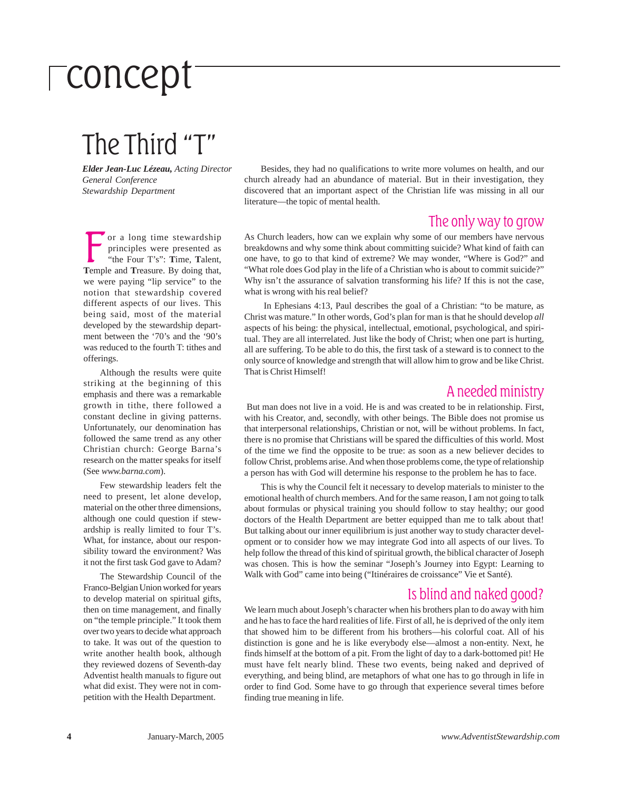# concept

### The Third "T"

*Elder Jean-Luc Lézeau, Acting Director General Conference Stewardship Department*

Besides, they had no qualifications to write more volumes on health, and our church already had an abundance of material. But in their investigation, they discovered that an important aspect of the Christian life was missing in all our literature—the topic of mental health.

#### The only way to grow

or a long time stewardship principles were presented as "the Four T's": **T**ime, **T**alent, **T**emple and **T**reasure. By doing that, we were paying "lip service" to the notion that stewardship covered different aspects of our lives. This being said, most of the material developed by the stewardship department between the '70's and the '90's was reduced to the fourth T: tithes and offerings.

Although the results were quite striking at the beginning of this emphasis and there was a remarkable growth in tithe, there followed a constant decline in giving patterns. Unfortunately, our denomination has followed the same trend as any other Christian church: George Barna's research on the matter speaks for itself (See *www.barna.com*).

Few stewardship leaders felt the need to present, let alone develop, material on the other three dimensions, although one could question if stewardship is really limited to four T's. What, for instance, about our responsibility toward the environment? Was it not the first task God gave to Adam?

The Stewardship Council of the Franco-Belgian Union worked for years to develop material on spiritual gifts, then on time management, and finally on "the temple principle." It took them over two years to decide what approach to take. It was out of the question to write another health book, although they reviewed dozens of Seventh-day Adventist health manuals to figure out what did exist. They were not in competition with the Health Department.

As Church leaders, how can we explain why some of our members have nervous breakdowns and why some think about committing suicide? What kind of faith can one have, to go to that kind of extreme? We may wonder, "Where is God?" and "What role does God play in the life of a Christian who is about to commit suicide?" Why isn't the assurance of salvation transforming his life? If this is not the case, what is wrong with his real belief?

 In Ephesians 4:13, Paul describes the goal of a Christian: "to be mature, as Christ was mature." In other words, God's plan for man is that he should develop *all* aspects of his being: the physical, intellectual, emotional, psychological, and spiritual. They are all interrelated. Just like the body of Christ; when one part is hurting, all are suffering. To be able to do this, the first task of a steward is to connect to the only source of knowledge and strength that will allow him to grow and be like Christ. That is Christ Himself!

#### A needed ministry

 But man does not live in a void. He is and was created to be in relationship. First, with his Creator, and, secondly, with other beings. The Bible does not promise us that interpersonal relationships, Christian or not, will be without problems. In fact, there is no promise that Christians will be spared the difficulties of this world. Most of the time we find the opposite to be true: as soon as a new believer decides to follow Christ, problems arise. And when those problems come, the type of relationship a person has with God will determine his response to the problem he has to face.

This is why the Council felt it necessary to develop materials to minister to the emotional health of church members. And for the same reason, I am not going to talk about formulas or physical training you should follow to stay healthy; our good doctors of the Health Department are better equipped than me to talk about that! But talking about our inner equilibrium is just another way to study character development or to consider how we may integrate God into all aspects of our lives. To help follow the thread of this kind of spiritual growth, the biblical character of Joseph was chosen. This is how the seminar "Joseph's Journey into Egypt: Learning to Walk with God" came into being ("Itinéraires de croissance" Vie et Santé).

#### Is blind and naked good?

We learn much about Joseph's character when his brothers plan to do away with him and he has to face the hard realities of life. First of all, he is deprived of the only item that showed him to be different from his brothers—his colorful coat. All of his distinction is gone and he is like everybody else—almost a non-entity. Next, he finds himself at the bottom of a pit. From the light of day to a dark-bottomed pit! He must have felt nearly blind. These two events, being naked and deprived of everything, and being blind, are metaphors of what one has to go through in life in order to find God. Some have to go through that experience several times before finding true meaning in life.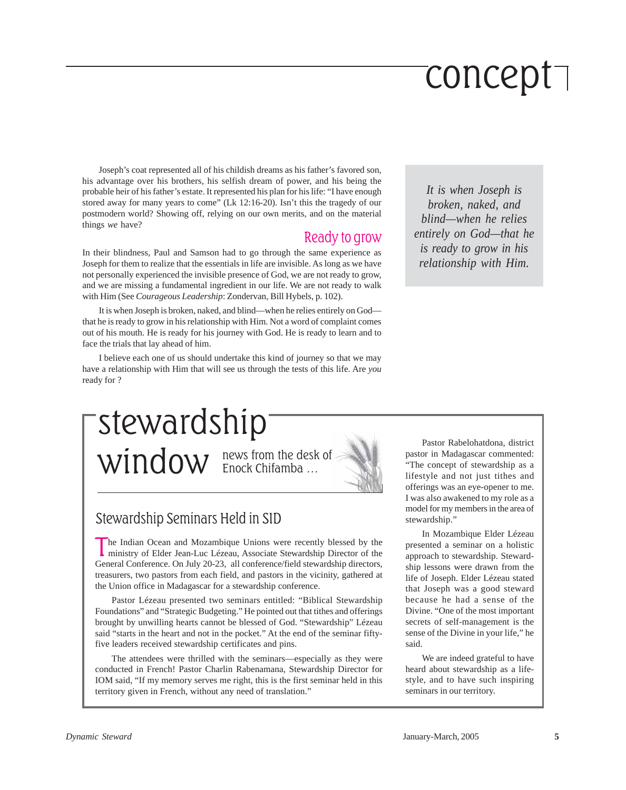# concept

Joseph's coat represented all of his childish dreams as his father's favored son, his advantage over his brothers, his selfish dream of power, and his being the probable heir of his father's estate. It represented his plan for his life: "I have enough stored away for many years to come" (Lk 12:16-20). Isn't this the tragedy of our postmodern world? Showing off, relying on our own merits, and on the material things *we* have?

#### Ready to grow

In their blindness, Paul and Samson had to go through the same experience as Joseph for them to realize that the essentials in life are invisible. As long as we have not personally experienced the invisible presence of God, we are not ready to grow, and we are missing a fundamental ingredient in our life. We are not ready to walk with Him (See *Courageous Leadership*: Zondervan*,* Bill Hybels, p. 102).

It is when Joseph is broken, naked, and blind—when he relies entirely on God that he is ready to grow in his relationship with Him. Not a word of complaint comes out of his mouth. He is ready for his journey with God. He is ready to learn and to face the trials that lay ahead of him.

I believe each one of us should undertake this kind of journey so that we may have a relationship with Him that will see us through the tests of this life. Are *you* ready for ?

*It is when Joseph is broken, naked, and blind—when he relies entirely on God—that he is ready to grow in his relationship with Him.*

stewardship

news from the desk of  $\boldsymbol{\mathrm{window}}$  news from the desk



#### Stewardship Seminars Held in SID

The Indian Ocean and Mozambique Unions were recently blessed by the ministry of Elder Jean-Luc Lézeau, Associate Stewardship Director of the General Conference. On July 20-23, all conference/field stewardship directors, treasurers, two pastors from each field, and pastors in the vicinity, gathered at the Union office in Madagascar for a stewardship conference.

Pastor Lézeau presented two seminars entitled: "Biblical Stewardship Foundations" and "Strategic Budgeting." He pointed out that tithes and offerings brought by unwilling hearts cannot be blessed of God. "Stewardship" Lézeau said "starts in the heart and not in the pocket." At the end of the seminar fiftyfive leaders received stewardship certificates and pins.

The attendees were thrilled with the seminars—especially as they were conducted in French! Pastor Charlin Rabenamana, Stewardship Director for IOM said, "If my memory serves me right, this is the first seminar held in this territory given in French, without any need of translation."

Pastor Rabelohatdona, district pastor in Madagascar commented: "The concept of stewardship as a lifestyle and not just tithes and offerings was an eye-opener to me. I was also awakened to my role as a model for my members in the area of stewardship."

In Mozambique Elder Lézeau presented a seminar on a holistic approach to stewardship. Stewardship lessons were drawn from the life of Joseph. Elder Lézeau stated that Joseph was a good steward because he had a sense of the Divine. "One of the most important secrets of self-management is the sense of the Divine in your life," he said.

We are indeed grateful to have heard about stewardship as a lifestyle, and to have such inspiring seminars in our territory.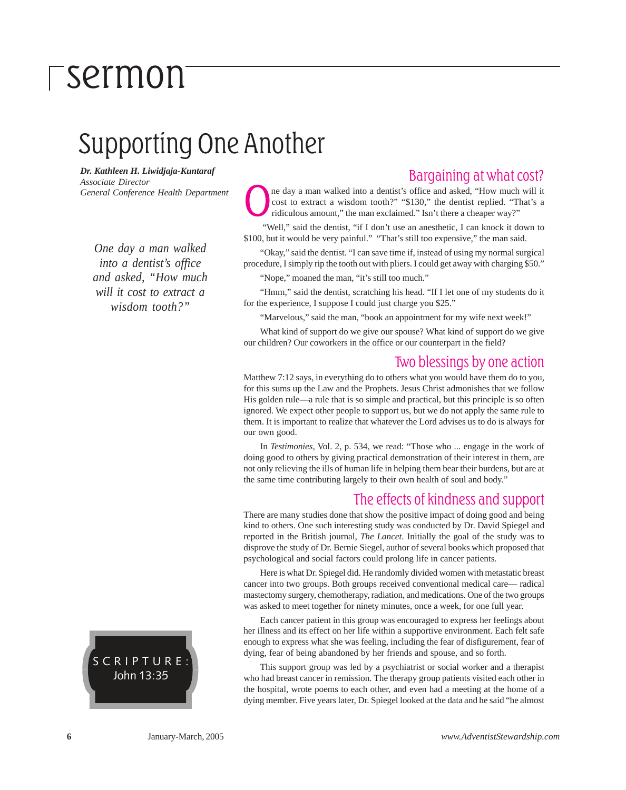### Supporting One Another

*Dr. Kathleen H. Liwidjaja-Kuntaraf Associate Director General Conference Health Department*

*One day a man walked into a dentist's office and asked, "How much will it cost to extract a wisdom tooth?"*



#### Bargaining at what cost?

ne day a man walked into a dentist's office and asked, "How much will it cost to extract a wisdom tooth?" "\$130," the dentist replied. "That's a ridiculous amount," the man exclaimed." Isn't there a cheaper way?"

"Well," said the dentist, "if I don't use an anesthetic, I can knock it down to \$100, but it would be very painful." "That's still too expensive," the man said.

"Okay," said the dentist. "I can save time if, instead of using my normal surgical procedure, I simply rip the tooth out with pliers. I could get away with charging \$50."

"Nope," moaned the man, "it's still too much."

"Hmm," said the dentist, scratching his head. "If I let one of my students do it for the experience, I suppose I could just charge you \$25."

"Marvelous," said the man, "book an appointment for my wife next week!"

What kind of support do we give our spouse? What kind of support do we give our children? Our coworkers in the office or our counterpart in the field?

#### Two blessings by one action

Matthew 7:12 says, in everything do to others what you would have them do to you, for this sums up the Law and the Prophets. Jesus Christ admonishes that we follow His golden rule—a rule that is so simple and practical, but this principle is so often ignored. We expect other people to support us, but we do not apply the same rule to them. It is important to realize that whatever the Lord advises us to do is always for our own good.

In *Testimonies*, Vol. 2, p. 534, we read: "Those who ... engage in the work of doing good to others by giving practical demonstration of their interest in them, are not only relieving the ills of human life in helping them bear their burdens, but are at the same time contributing largely to their own health of soul and body."

#### The effects of kindness and support

There are many studies done that show the positive impact of doing good and being kind to others. One such interesting study was conducted by Dr. David Spiegel and reported in the British journal, *The Lancet*. Initially the goal of the study was to disprove the study of Dr. Bernie Siegel, author of several books which proposed that psychological and social factors could prolong life in cancer patients.

Here is what Dr. Spiegel did. He randomly divided women with metastatic breast cancer into two groups. Both groups received conventional medical care— radical mastectomy surgery, chemotherapy, radiation, and medications. One of the two groups was asked to meet together for ninety minutes, once a week, for one full year.

Each cancer patient in this group was encouraged to express her feelings about her illness and its effect on her life within a supportive environment. Each felt safe enough to express what she was feeling, including the fear of disfigurement, fear of dying, fear of being abandoned by her friends and spouse, and so forth.

This support group was led by a psychiatrist or social worker and a therapist who had breast cancer in remission. The therapy group patients visited each other in the hospital, wrote poems to each other, and even had a meeting at the home of a dying member. Five years later, Dr. Spiegel looked at the data and he said "he almost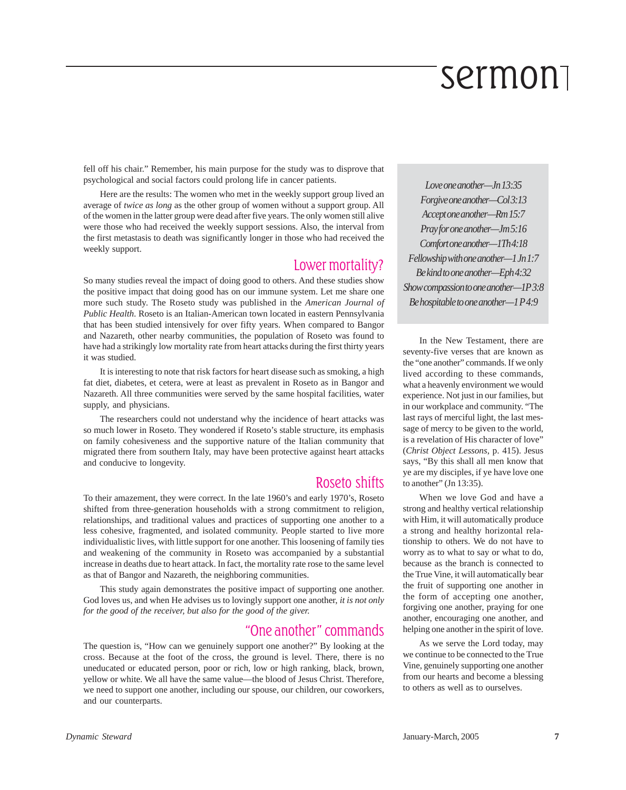fell off his chair." Remember, his main purpose for the study was to disprove that psychological and social factors could prolong life in cancer patients.

Here are the results: The women who met in the weekly support group lived an average of *twice as long* as the other group of women without a support group. All of the women in the latter group were dead after five years. The only women still alive were those who had received the weekly support sessions. Also, the interval from the first metastasis to death was significantly longer in those who had received the weekly support.

#### Lower mortality?

So many studies reveal the impact of doing good to others. And these studies show the positive impact that doing good has on our immune system. Let me share one more such study. The Roseto study was published in the *American Journal of Public Health*. Roseto is an Italian-American town located in eastern Pennsylvania that has been studied intensively for over fifty years. When compared to Bangor and Nazareth, other nearby communities, the population of Roseto was found to have had a strikingly low mortality rate from heart attacks during the first thirty years it was studied.

It is interesting to note that risk factors for heart disease such as smoking, a high fat diet, diabetes, et cetera, were at least as prevalent in Roseto as in Bangor and Nazareth. All three communities were served by the same hospital facilities, water supply, and physicians.

The researchers could not understand why the incidence of heart attacks was so much lower in Roseto. They wondered if Roseto's stable structure, its emphasis on family cohesiveness and the supportive nature of the Italian community that migrated there from southern Italy, may have been protective against heart attacks and conducive to longevity.

#### Roseto shifts

To their amazement, they were correct. In the late 1960's and early 1970's, Roseto shifted from three-generation households with a strong commitment to religion, relationships, and traditional values and practices of supporting one another to a less cohesive, fragmented, and isolated community. People started to live more individualistic lives, with little support for one another. This loosening of family ties and weakening of the community in Roseto was accompanied by a substantial increase in deaths due to heart attack. In fact, the mortality rate rose to the same level as that of Bangor and Nazareth, the neighboring communities.

This study again demonstrates the positive impact of supporting one another. God loves us, and when He advises us to lovingly support one another, *it is not only for the good of the receiver, but also for the good of the giver.*

#### "One another" commands

The question is, "How can we genuinely support one another?" By looking at the cross. Because at the foot of the cross, the ground is level. There, there is no uneducated or educated person, poor or rich, low or high ranking, black, brown, yellow or white. We all have the same value—the blood of Jesus Christ. Therefore, we need to support one another, including our spouse, our children, our coworkers, and our counterparts.

*Love one another—Jn 13:35 Forgive one another—Col 3:13 Accept one another—Rm 15:7 Pray for one another—Jm 5:16 Comfort one another—1Th 4:18 Fellowship with one another—1 Jn 1:7 Be kind to one another—Eph 4:32 Show compassion to one another—1P 3:8 Be hospitable to one another—1 P 4:9*

In the New Testament, there are seventy-five verses that are known as the "one another" commands. If we only lived according to these commands, what a heavenly environment we would experience. Not just in our families, but in our workplace and community. "The last rays of merciful light, the last message of mercy to be given to the world, is a revelation of His character of love" (*Christ Object Lessons*, p. 415). Jesus says, "By this shall all men know that ye are my disciples, if ye have love one to another" (Jn 13:35).

When we love God and have a strong and healthy vertical relationship with Him, it will automatically produce a strong and healthy horizontal relationship to others. We do not have to worry as to what to say or what to do, because as the branch is connected to the True Vine, it will automatically bear the fruit of supporting one another in the form of accepting one another, forgiving one another, praying for one another, encouraging one another, and helping one another in the spirit of love.

As we serve the Lord today, may we continue to be connected to the True Vine, genuinely supporting one another from our hearts and become a blessing to others as well as to ourselves.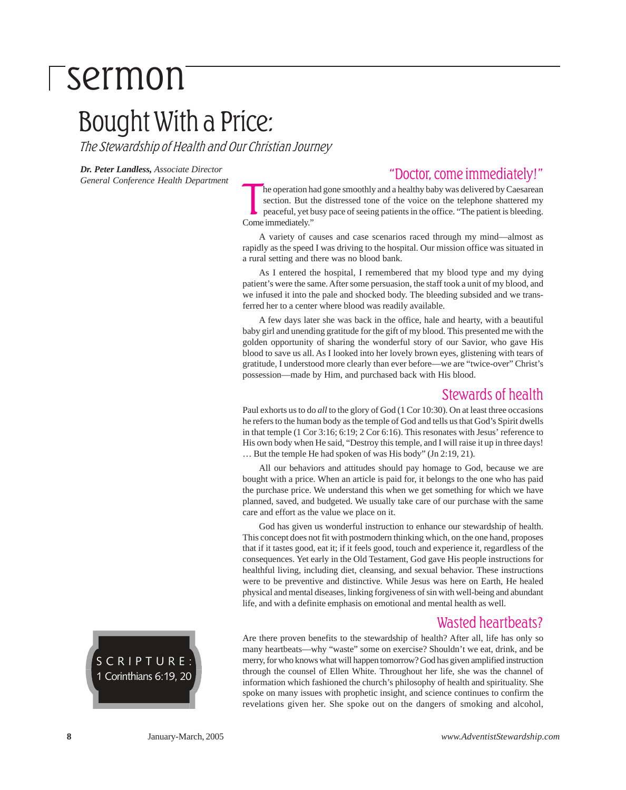### Bought With a Price:

The Stewardship of Health and Our Christian Journey

*Dr. Peter Landless, Associate Director General Conference Health Department*

#### "Doctor, come immediately!"

The operation has section. But the peaceful, yet b<br>Come immediately." he operation had gone smoothly and a healthy baby was delivered by Caesarean section. But the distressed tone of the voice on the telephone shattered my peaceful, yet busy pace of seeing patients in the office. "The patient is bleeding.

A variety of causes and case scenarios raced through my mind—almost as rapidly as the speed I was driving to the hospital. Our mission office was situated in a rural setting and there was no blood bank.

As I entered the hospital, I remembered that my blood type and my dying patient's were the same. After some persuasion, the staff took a unit of my blood, and we infused it into the pale and shocked body. The bleeding subsided and we transferred her to a center where blood was readily available.

A few days later she was back in the office, hale and hearty, with a beautiful baby girl and unending gratitude for the gift of my blood. This presented me with the golden opportunity of sharing the wonderful story of our Savior, who gave His blood to save us all. As I looked into her lovely brown eyes, glistening with tears of gratitude, I understood more clearly than ever before—we are "twice-over" Christ's possession—made by Him, and purchased back with His blood.

#### Stewards of health

Paul exhorts us to do *all* to the glory of God (1 Cor 10:30). On at least three occasions he refers to the human body as the temple of God and tells us that God's Spirit dwells in that temple (1 Cor 3:16; 6:19; 2 Cor 6:16). This resonates with Jesus' reference to His own body when He said, "Destroy this temple, and I will raise it up in three days! … But the temple He had spoken of was His body" (Jn 2:19, 21).

All our behaviors and attitudes should pay homage to God, because we are bought with a price. When an article is paid for, it belongs to the one who has paid the purchase price. We understand this when we get something for which we have planned, saved, and budgeted. We usually take care of our purchase with the same care and effort as the value we place on it.

God has given us wonderful instruction to enhance our stewardship of health. This concept does not fit with postmodern thinking which, on the one hand, proposes that if it tastes good, eat it; if it feels good, touch and experience it, regardless of the consequences. Yet early in the Old Testament, God gave His people instructions for healthful living, including diet, cleansing, and sexual behavior. These instructions were to be preventive and distinctive. While Jesus was here on Earth, He healed physical and mental diseases, linking forgiveness of sin with well-being and abundant life, and with a definite emphasis on emotional and mental health as well.

#### Wasted heartbeats?

Are there proven benefits to the stewardship of health? After all, life has only so many heartbeats—why "waste" some on exercise? Shouldn't we eat, drink, and be merry, for who knows what will happen tomorrow? God has given amplified instruction through the counsel of Ellen White. Throughout her life, she was the channel of information which fashioned the church's philosophy of health and spirituality. She spoke on many issues with prophetic insight, and science continues to confirm the revelations given her. She spoke out on the dangers of smoking and alcohol,

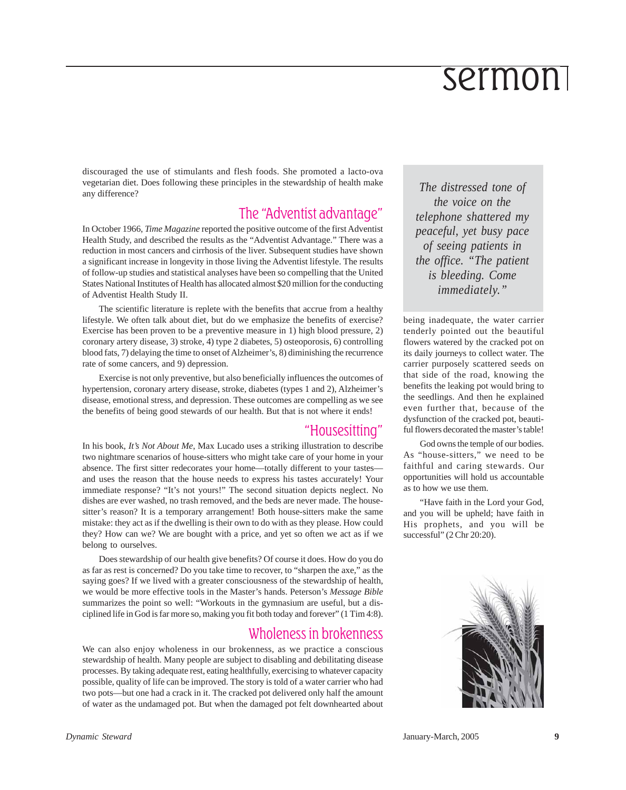discouraged the use of stimulants and flesh foods. She promoted a lacto-ova vegetarian diet. Does following these principles in the stewardship of health make any difference?

#### The "Adventist advantage"

In October 1966, *Time Magazine* reported the positive outcome of the first Adventist Health Study, and described the results as the "Adventist Advantage." There was a reduction in most cancers and cirrhosis of the liver. Subsequent studies have shown a significant increase in longevity in those living the Adventist lifestyle. The results of follow-up studies and statistical analyses have been so compelling that the United States National Institutes of Health has allocated almost \$20 million for the conducting of Adventist Health Study II.

The scientific literature is replete with the benefits that accrue from a healthy lifestyle. We often talk about diet, but do we emphasize the benefits of exercise? Exercise has been proven to be a preventive measure in 1) high blood pressure, 2) coronary artery disease, 3) stroke, 4) type 2 diabetes, 5) osteoporosis, 6) controlling blood fats, 7) delaying the time to onset of Alzheimer's, 8) diminishing the recurrence rate of some cancers, and 9) depression.

Exercise is not only preventive, but also beneficially influences the outcomes of hypertension, coronary artery disease, stroke, diabetes (types 1 and 2), Alzheimer's disease, emotional stress, and depression. These outcomes are compelling as we see the benefits of being good stewards of our health. But that is not where it ends!

#### "Housesitting"

In his book, *It's Not About Me*, Max Lucado uses a striking illustration to describe two nightmare scenarios of house-sitters who might take care of your home in your absence. The first sitter redecorates your home—totally different to your tastes and uses the reason that the house needs to express his tastes accurately! Your immediate response? "It's not yours!" The second situation depicts neglect. No dishes are ever washed, no trash removed, and the beds are never made. The housesitter's reason? It is a temporary arrangement! Both house-sitters make the same mistake: they act as if the dwelling is their own to do with as they please. How could they? How can we? We are bought with a price, and yet so often we act as if we belong to ourselves.

Does stewardship of our health give benefits? Of course it does. How do you do as far as rest is concerned? Do you take time to recover, to "sharpen the axe," as the saying goes? If we lived with a greater consciousness of the stewardship of health, we would be more effective tools in the Master's hands. Peterson's *Message Bible* summarizes the point so well: "Workouts in the gymnasium are useful, but a disciplined life in God is far more so, making you fit both today and forever" (1 Tim 4:8).

#### Wholeness in brokenness

We can also enjoy wholeness in our brokenness, as we practice a conscious stewardship of health. Many people are subject to disabling and debilitating disease processes. By taking adequate rest, eating healthfully, exercising to whatever capacity possible, quality of life can be improved. The story is told of a water carrier who had two pots—but one had a crack in it. The cracked pot delivered only half the amount of water as the undamaged pot. But when the damaged pot felt downhearted about

*The distressed tone of the voice on the telephone shattered my peaceful, yet busy pace of seeing patients in the office. "The patient is bleeding. Come immediately."*

being inadequate, the water carrier tenderly pointed out the beautiful flowers watered by the cracked pot on its daily journeys to collect water. The carrier purposely scattered seeds on that side of the road, knowing the benefits the leaking pot would bring to the seedlings. And then he explained even further that, because of the dysfunction of the cracked pot, beautiful flowers decorated the master's table!

God owns the temple of our bodies. As "house-sitters," we need to be faithful and caring stewards. Our opportunities will hold us accountable as to how we use them.

"Have faith in the Lord your God, and you will be upheld; have faith in His prophets, and you will be successful" (2 Chr 20:20).

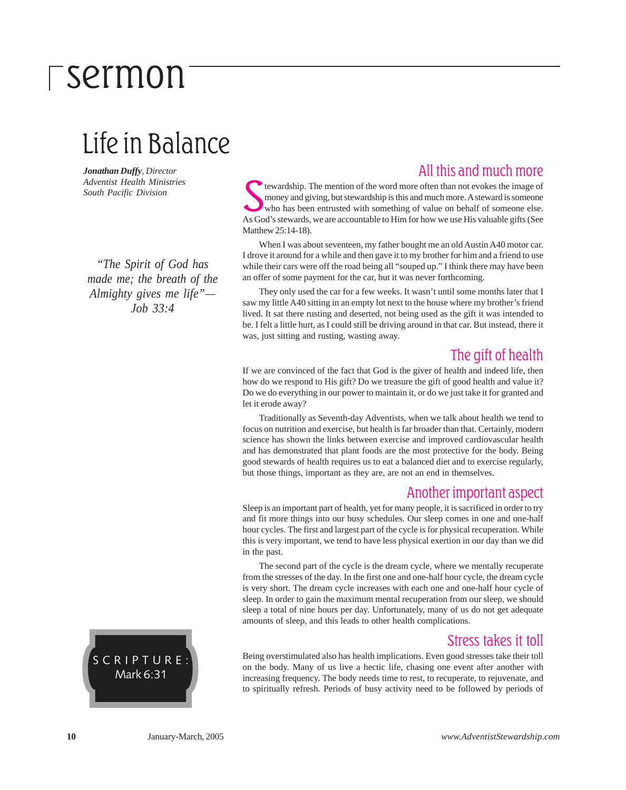### Life in Balance

*Jonathan Duffy, Director Adventist Health Ministries South Pacific Division*

*"The Spirit of God has made me; the breath of the Almighty gives me life"— Job 33:4*



#### All this and much more

tewardship. The mention of the word more often than not evokes the image of money and giving, but stewardship is this and much more. A steward is someone who has been entrusted with something of value on behalf of someone tewardship. The mention of the word more often than not evokes the image of money and giving, but stewardship is this and much more. A steward is someone who has been entrusted with something of value on behalf of someone else. Matthew 25:14-18).

When I was about seventeen, my father bought me an old Austin A40 motor car. I drove it around for a while and then gave it to my brother for him and a friend to use while their cars were off the road being all "souped up." I think there may have been an offer of some payment for the car, but it was never forthcoming.

They only used the car for a few weeks. It wasn't until some months later that I saw my little A40 sitting in an empty lot next to the house where my brother's friend lived. It sat there rusting and deserted, not being used as the gift it was intended to be. I felt a little hurt, as I could still be driving around in that car. But instead, there it was, just sitting and rusting, wasting away.

#### The gift of health

If we are convinced of the fact that God is the giver of health and indeed life, then how do we respond to His gift? Do we treasure the gift of good health and value it? Do we do everything in our power to maintain it, or do we just take it for granted and let it erode away?

Traditionally as Seventh-day Adventists, when we talk about health we tend to focus on nutrition and exercise, but health is far broader than that. Certainly, modern science has shown the links between exercise and improved cardiovascular health and has demonstrated that plant foods are the most protective for the body. Being good stewards of health requires us to eat a balanced diet and to exercise regularly, but those things, important as they are, are not an end in themselves.

#### Another important aspect

Sleep is an important part of health, yet for many people, it is sacrificed in order to try and fit more things into our busy schedules. Our sleep comes in one and one-half hour cycles. The first and largest part of the cycle is for physical recuperation. While this is very important, we tend to have less physical exertion in our day than we did in the past.

The second part of the cycle is the dream cycle, where we mentally recuperate from the stresses of the day. In the first one and one-half hour cycle, the dream cycle is very short. The dream cycle increases with each one and one-half hour cycle of sleep. In order to gain the maximum mental recuperation from our sleep, we should sleep a total of nine hours per day. Unfortunately, many of us do not get adequate amounts of sleep, and this leads to other health complications.

#### Stress takes it toll

Being overstimulated also has health implications. Even good stresses take their toll on the body. Many of us live a hectic life, chasing one event after another with increasing frequency. The body needs time to rest, to recuperate, to rejuvenate, and to spiritually refresh. Periods of busy activity need to be followed by periods of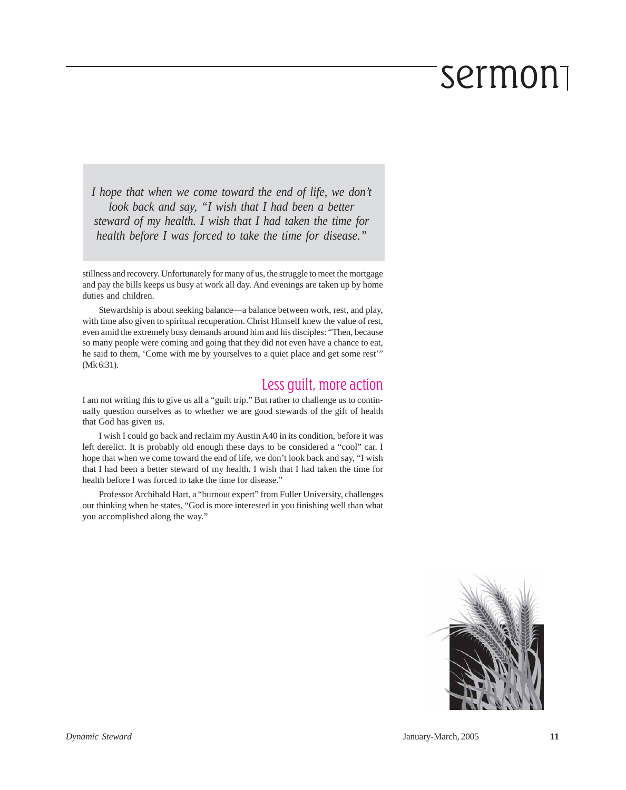*I hope that when we come toward the end of life, we don't look back and say, "I wish that I had been a better steward of my health. I wish that I had taken the time for health before I was forced to take the time for disease."*

stillness and recovery. Unfortunately for many of us, the struggle to meet the mortgage and pay the bills keeps us busy at work all day. And evenings are taken up by home duties and children.

Stewardship is about seeking balance—a balance between work, rest, and play, with time also given to spiritual recuperation. Christ Himself knew the value of rest, even amid the extremely busy demands around him and his disciples: "Then, because so many people were coming and going that they did not even have a chance to eat, he said to them, 'Come with me by yourselves to a quiet place and get some rest'" (Mk 6:31).

#### Less guilt, more action

I am not writing this to give us all a "guilt trip." But rather to challenge us to continually question ourselves as to whether we are good stewards of the gift of health that God has given us.

I wish I could go back and reclaim my Austin A40 in its condition, before it was left derelict. It is probably old enough these days to be considered a "cool" car. I hope that when we come toward the end of life, we don't look back and say, "I wish that I had been a better steward of my health. I wish that I had taken the time for health before I was forced to take the time for disease."

Professor Archibald Hart, a "burnout expert" from Fuller University, challenges our thinking when he states, "God is more interested in you finishing well than what you accomplished along the way."

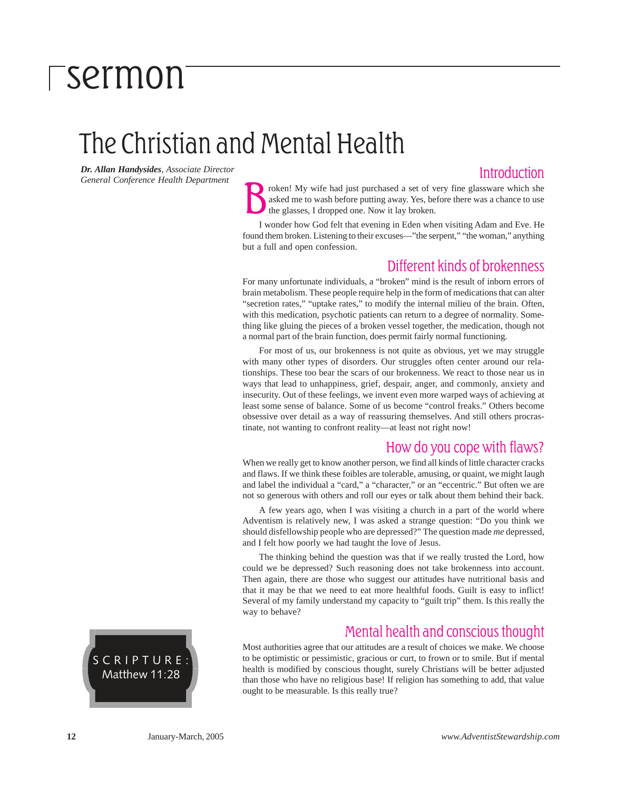### The Christian and Mental Health

*Dr. Allan Handysides, Associate Director General Conference Health Department*

#### **Introduction**

roken! My wife had just purchased a set of very fine glassware which she asked me to wash before putting away. Yes, before there was a chance to use the glasses, I dropped one. Now it lay broken.

I wonder how God felt that evening in Eden when visiting Adam and Eve. He found them broken. Listening to their excuses—"the serpent," "the woman," anything but a full and open confession.

#### Different kinds of brokenness

For many unfortunate individuals, a "broken" mind is the result of inborn errors of brain metabolism. These people require help in the form of medications that can alter "secretion rates," "uptake rates," to modify the internal milieu of the brain. Often, with this medication, psychotic patients can return to a degree of normality. Something like gluing the pieces of a broken vessel together, the medication, though not a normal part of the brain function, does permit fairly normal functioning.

For most of us, our brokenness is not quite as obvious, yet we may struggle with many other types of disorders. Our struggles often center around our relationships. These too bear the scars of our brokenness. We react to those near us in ways that lead to unhappiness, grief, despair, anger, and commonly, anxiety and insecurity. Out of these feelings, we invent even more warped ways of achieving at least some sense of balance. Some of us become "control freaks." Others become obsessive over detail as a way of reassuring themselves. And still others procrastinate, not wanting to confront reality—at least not right now!

#### How do you cope with flaws?

When we really get to know another person, we find all kinds of little character cracks and flaws. If we think these foibles are tolerable, amusing, or quaint, we might laugh and label the individual a "card," a "character," or an "eccentric." But often we are not so generous with others and roll our eyes or talk about them behind their back.

A few years ago, when I was visiting a church in a part of the world where Adventism is relatively new, I was asked a strange question: "Do you think we should disfellowship people who are depressed?" The question made *me* depressed, and I felt how poorly we had taught the love of Jesus.

The thinking behind the question was that if we really trusted the Lord, how could we be depressed? Such reasoning does not take brokenness into account. Then again, there are those who suggest our attitudes have nutritional basis and that it may be that we need to eat more healthful foods. Guilt is easy to inflict! Several of my family understand my capacity to "guilt trip" them. Is this really the way to behave?

#### Mental health and conscious thought

Most authorities agree that our attitudes are a result of choices we make. We choose to be optimistic or pessimistic, gracious or curt, to frown or to smile. But if mental health is modified by conscious thought, surely Christians will be better adjusted than those who have no religious base! If religion has something to add, that value ought to be measurable. Is this really true?

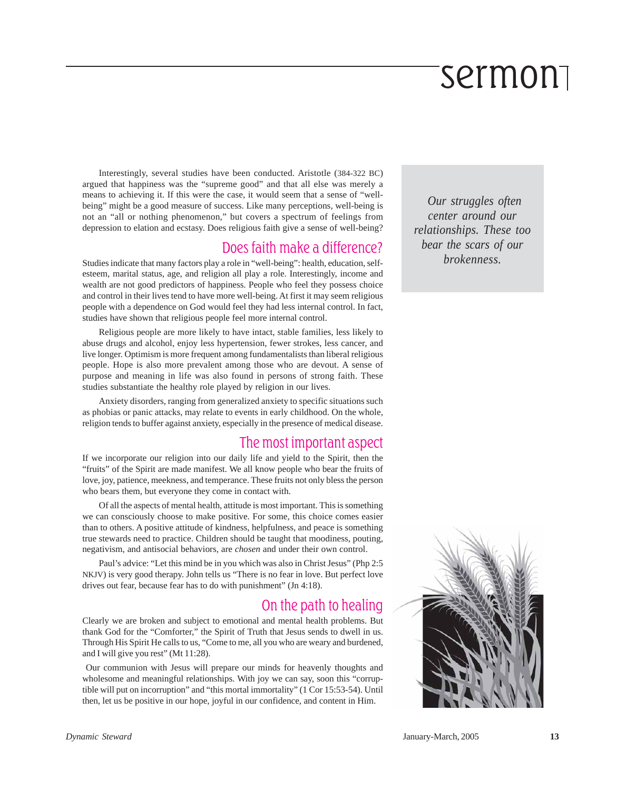Interestingly, several studies have been conducted. Aristotle (384-322 BC) argued that happiness was the "supreme good" and that all else was merely a means to achieving it. If this were the case, it would seem that a sense of "wellbeing" might be a good measure of success. Like many perceptions, well-being is not an "all or nothing phenomenon," but covers a spectrum of feelings from depression to elation and ecstasy. Does religious faith give a sense of well-being?

#### Does faith make a difference?

Studies indicate that many factors play a role in "well-being": health, education, selfesteem, marital status, age, and religion all play a role. Interestingly, income and wealth are not good predictors of happiness. People who feel they possess choice and control in their lives tend to have more well-being. At first it may seem religious people with a dependence on God would feel they had less internal control. In fact, studies have shown that religious people feel more internal control.

Religious people are more likely to have intact, stable families, less likely to abuse drugs and alcohol, enjoy less hypertension, fewer strokes, less cancer, and live longer. Optimism is more frequent among fundamentalists than liberal religious people. Hope is also more prevalent among those who are devout. A sense of purpose and meaning in life was also found in persons of strong faith. These studies substantiate the healthy role played by religion in our lives.

Anxiety disorders, ranging from generalized anxiety to specific situations such as phobias or panic attacks, may relate to events in early childhood. On the whole, religion tends to buffer against anxiety, especially in the presence of medical disease.

#### The most important aspect

If we incorporate our religion into our daily life and yield to the Spirit, then the "fruits" of the Spirit are made manifest. We all know people who bear the fruits of love, joy, patience, meekness, and temperance. These fruits not only bless the person who bears them, but everyone they come in contact with.

Of all the aspects of mental health, attitude is most important. This is something we can consciously choose to make positive. For some, this choice comes easier than to others. A positive attitude of kindness, helpfulness, and peace is something true stewards need to practice. Children should be taught that moodiness, pouting, negativism, and antisocial behaviors, are *chosen* and under their own control.

Paul's advice: "Let this mind be in you which was also in Christ Jesus" (Php 2:5 NKJV) is very good therapy. John tells us "There is no fear in love. But perfect love drives out fear, because fear has to do with punishment" (Jn 4:18).

#### On the path to healing

Clearly we are broken and subject to emotional and mental health problems. But thank God for the "Comforter," the Spirit of Truth that Jesus sends to dwell in us. Through His Spirit He calls to us, "Come to me, all you who are weary and burdened, and I will give you rest" (Mt 11:28).

 Our communion with Jesus will prepare our minds for heavenly thoughts and wholesome and meaningful relationships. With joy we can say, soon this "corruptible will put on incorruption" and "this mortal immortality" (1 Cor 15:53-54). Until then, let us be positive in our hope, joyful in our confidence, and content in Him.

 *Our struggles often center around our relationships. These too bear the scars of our brokenness.*

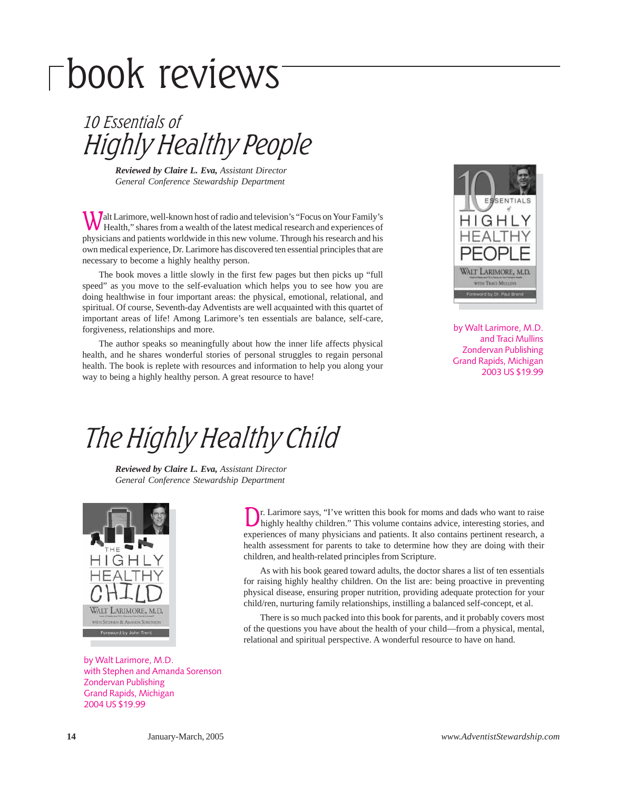# book reviews

Highly Healthy People 10 Essentials of

*Reviewed by Claire L. Eva, Assistant Director General Conference Stewardship Department*

Walt Larimore, well-known host of radio and television's "Focus on Your Family's Health," shares from a wealth of the latest medical research and experiences of physicians and patients worldwide in this new volume. Through his research and his own medical experience, Dr. Larimore has discovered ten essential principles that are necessary to become a highly healthy person.

The book moves a little slowly in the first few pages but then picks up "full speed" as you move to the self-evaluation which helps you to see how you are doing healthwise in four important areas: the physical, emotional, relational, and spiritual. Of course, Seventh-day Adventists are well acquainted with this quartet of important areas of life! Among Larimore's ten essentials are balance, self-care, forgiveness, relationships and more.

The author speaks so meaningfully about how the inner life affects physical health, and he shares wonderful stories of personal struggles to regain personal health. The book is replete with resources and information to help you along your way to being a highly healthy person. A great resource to have!



by Walt Larimore, M.D. and Traci Mullins Zondervan Publishing Grand Rapids, Michigan 2003 US \$19.99

### The Highly Healthy Child

*Reviewed by Claire L. Eva, Assistant Director General Conference Stewardship Department*



by Walt Larimore, M.D. with Stephen and Amanda Sorenson Zondervan Publishing Grand Rapids, Michigan 2004 US \$19.99

Dr. Larimore says, "I've written this book for moms and dads who want to raise highly healthy children." This volume contains advice, interesting stories, and experiences of many physicians and patients. It also contains pertinent research, a health assessment for parents to take to determine how they are doing with their children, and health-related principles from Scripture.

As with his book geared toward adults, the doctor shares a list of ten essentials for raising highly healthy children. On the list are: being proactive in preventing physical disease, ensuring proper nutrition, providing adequate protection for your child/ren, nurturing family relationships, instilling a balanced self-concept, et al.

There is so much packed into this book for parents, and it probably covers most of the questions you have about the health of your child—from a physical, mental, relational and spiritual perspective. A wonderful resource to have on hand.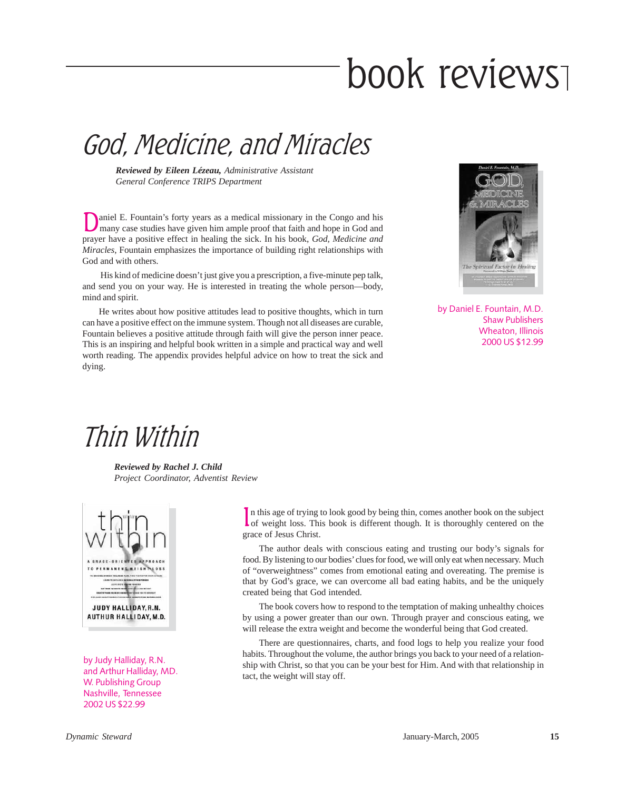# book reviews

### God, Medicine, and Miracles

*Reviewed by Eileen Lézeau, Administrative Assistant General Conference TRIPS Department*

Daniel E. Fountain's forty years as a medical missionary in the Congo and his many case studies have given him ample proof that faith and hope in God and prayer have a positive effect in healing the sick. In his book, *God, Medicine and Miracles*, Fountain emphasizes the importance of building right relationships with God and with others.

 His kind of medicine doesn't just give you a prescription, a five-minute pep talk, and send you on your way. He is interested in treating the whole person—body, mind and spirit.

He writes about how positive attitudes lead to positive thoughts, which in turn can have a positive effect on the immune system. Though not all diseases are curable, Fountain believes a positive attitude through faith will give the person inner peace. This is an inspiring and helpful book written in a simple and practical way and well worth reading. The appendix provides helpful advice on how to treat the sick and dying.



by Daniel E. Fountain, M.D. Shaw Publishers Wheaton, Illinois 2000 US \$12.99

### Thin Within

*Reviewed by Rachel J. Child Project Coordinator, Adventist Review*



by Judy Halliday, R.N. and Arthur Halliday, MD. W. Publishing Group Nashville, Tennessee 2002 US \$22.99

In this age of trying to look good by being thin, comes another book on the subject of weight loss. This book is different though. It is thoroughly centered on the Lof weight loss. This book is different though. It is thoroughly centered on the grace of Jesus Christ.

The author deals with conscious eating and trusting our body's signals for food. By listening to our bodies' clues for food, we will only eat when necessary. Much of "overweightness" comes from emotional eating and overeating. The premise is that by God's grace, we can overcome all bad eating habits, and be the uniquely created being that God intended.

The book covers how to respond to the temptation of making unhealthy choices by using a power greater than our own. Through prayer and conscious eating, we will release the extra weight and become the wonderful being that God created.

There are questionnaires, charts, and food logs to help you realize your food habits. Throughout the volume, the author brings you back to your need of a relationship with Christ, so that you can be your best for Him. And with that relationship in tact, the weight will stay off.